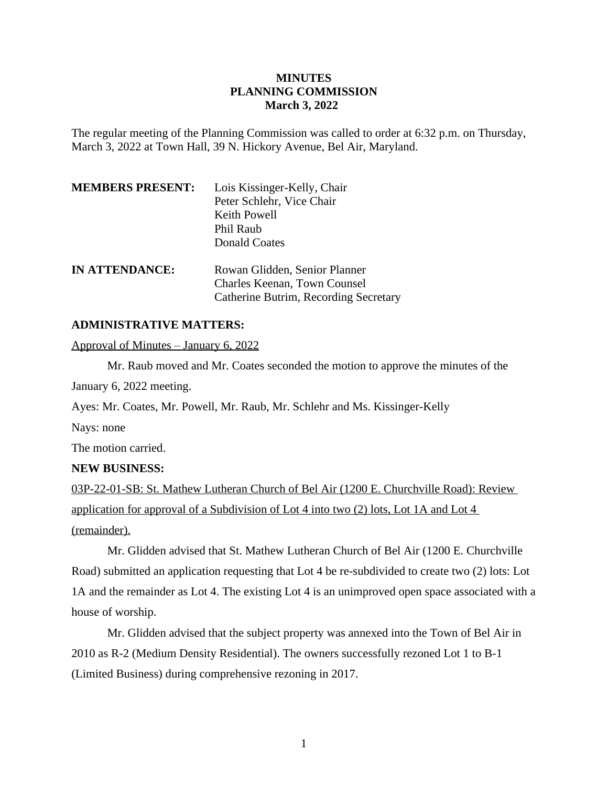# **MINUTES PLANNING COMMISSION March 3, 2022**

The regular meeting of the Planning Commission was called to order at 6:32 p.m. on Thursday, March 3, 2022 at Town Hall, 39 N. Hickory Avenue, Bel Air, Maryland.

| <b>MEMBERS PRESENT:</b> | Lois Kissinger-Kelly, Chair           |
|-------------------------|---------------------------------------|
|                         | Peter Schlehr, Vice Chair             |
|                         | Keith Powell                          |
|                         | Phil Raub                             |
|                         | <b>Donald Coates</b>                  |
| <b>IN ATTENDANCE:</b>   | Rowan Glidden, Senior Planner         |
|                         | Charles Keenan, Town Counsel          |
|                         | Catherine Butrim, Recording Secretary |

## **ADMINISTRATIVE MATTERS:**

Approval of Minutes – January 6, 2022

Mr. Raub moved and Mr. Coates seconded the motion to approve the minutes of the January 6, 2022 meeting.

Ayes: Mr. Coates, Mr. Powell, Mr. Raub, Mr. Schlehr and Ms. Kissinger-Kelly

Nays: none

The motion carried.

### **NEW BUSINESS:**

03P-22-01-SB: St. Mathew Lutheran Church of Bel Air (1200 E. Churchville Road): Review application for approval of a Subdivision of Lot 4 into two (2) lots, Lot 1A and Lot 4 (remainder).

Mr. Glidden advised that St. Mathew Lutheran Church of Bel Air (1200 E. Churchville Road) submitted an application requesting that Lot 4 be re-subdivided to create two (2) lots: Lot 1A and the remainder as Lot 4. The existing Lot 4 is an unimproved open space associated with a house of worship.

Mr. Glidden advised that the subject property was annexed into the Town of Bel Air in 2010 as R-2 (Medium Density Residential). The owners successfully rezoned Lot 1 to B-1 (Limited Business) during comprehensive rezoning in 2017.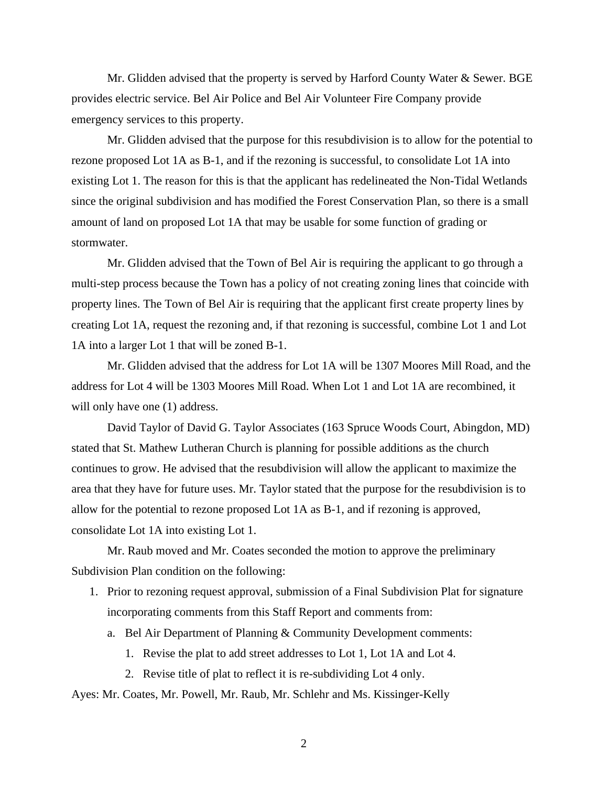Mr. Glidden advised that the property is served by Harford County Water & Sewer. BGE provides electric service. Bel Air Police and Bel Air Volunteer Fire Company provide emergency services to this property.

Mr. Glidden advised that the purpose for this resubdivision is to allow for the potential to rezone proposed Lot 1A as B-1, and if the rezoning is successful, to consolidate Lot 1A into existing Lot 1. The reason for this is that the applicant has redelineated the Non-Tidal Wetlands since the original subdivision and has modified the Forest Conservation Plan, so there is a small amount of land on proposed Lot 1A that may be usable for some function of grading or stormwater.

Mr. Glidden advised that the Town of Bel Air is requiring the applicant to go through a multi-step process because the Town has a policy of not creating zoning lines that coincide with property lines. The Town of Bel Air is requiring that the applicant first create property lines by creating Lot 1A, request the rezoning and, if that rezoning is successful, combine Lot 1 and Lot 1A into a larger Lot 1 that will be zoned B-1.

Mr. Glidden advised that the address for Lot 1A will be 1307 Moores Mill Road, and the address for Lot 4 will be 1303 Moores Mill Road. When Lot 1 and Lot 1A are recombined, it will only have one  $(1)$  address.

David Taylor of David G. Taylor Associates (163 Spruce Woods Court, Abingdon, MD) stated that St. Mathew Lutheran Church is planning for possible additions as the church continues to grow. He advised that the resubdivision will allow the applicant to maximize the area that they have for future uses. Mr. Taylor stated that the purpose for the resubdivision is to allow for the potential to rezone proposed Lot 1A as B-1, and if rezoning is approved, consolidate Lot 1A into existing Lot 1.

Mr. Raub moved and Mr. Coates seconded the motion to approve the preliminary Subdivision Plan condition on the following:

- 1. Prior to rezoning request approval, submission of a Final Subdivision Plat for signature incorporating comments from this Staff Report and comments from:
	- a. Bel Air Department of Planning & Community Development comments:
		- 1. Revise the plat to add street addresses to Lot 1, Lot 1A and Lot 4.
		- 2. Revise title of plat to reflect it is re-subdividing Lot 4 only.

Ayes: Mr. Coates, Mr. Powell, Mr. Raub, Mr. Schlehr and Ms. Kissinger-Kelly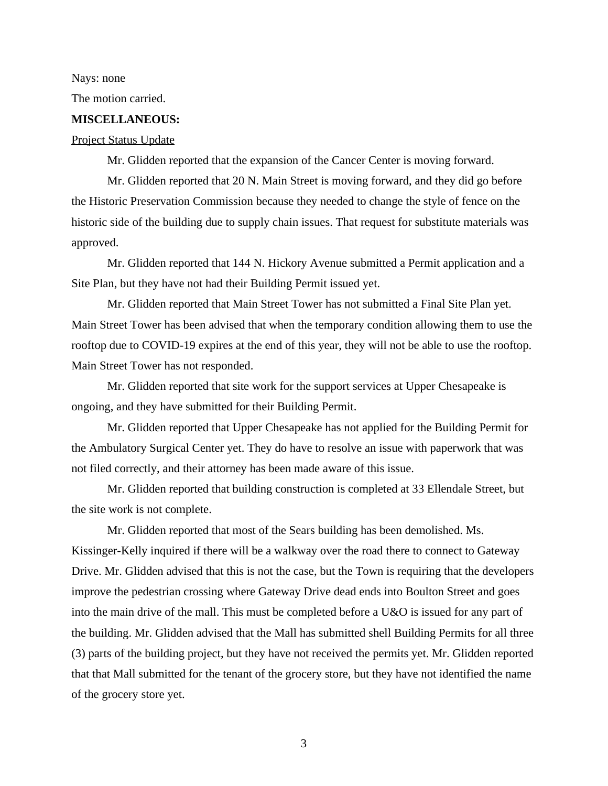Nays: none

The motion carried.

# **MISCELLANEOUS:**

### Project Status Update

Mr. Glidden reported that the expansion of the Cancer Center is moving forward.

Mr. Glidden reported that 20 N. Main Street is moving forward, and they did go before the Historic Preservation Commission because they needed to change the style of fence on the historic side of the building due to supply chain issues. That request for substitute materials was approved.

Mr. Glidden reported that 144 N. Hickory Avenue submitted a Permit application and a Site Plan, but they have not had their Building Permit issued yet.

Mr. Glidden reported that Main Street Tower has not submitted a Final Site Plan yet. Main Street Tower has been advised that when the temporary condition allowing them to use the rooftop due to COVID-19 expires at the end of this year, they will not be able to use the rooftop. Main Street Tower has not responded.

Mr. Glidden reported that site work for the support services at Upper Chesapeake is ongoing, and they have submitted for their Building Permit.

Mr. Glidden reported that Upper Chesapeake has not applied for the Building Permit for the Ambulatory Surgical Center yet. They do have to resolve an issue with paperwork that was not filed correctly, and their attorney has been made aware of this issue.

Mr. Glidden reported that building construction is completed at 33 Ellendale Street, but the site work is not complete.

Mr. Glidden reported that most of the Sears building has been demolished. Ms. Kissinger-Kelly inquired if there will be a walkway over the road there to connect to Gateway Drive. Mr. Glidden advised that this is not the case, but the Town is requiring that the developers improve the pedestrian crossing where Gateway Drive dead ends into Boulton Street and goes into the main drive of the mall. This must be completed before a U&O is issued for any part of the building. Mr. Glidden advised that the Mall has submitted shell Building Permits for all three (3) parts of the building project, but they have not received the permits yet. Mr. Glidden reported that that Mall submitted for the tenant of the grocery store, but they have not identified the name of the grocery store yet.